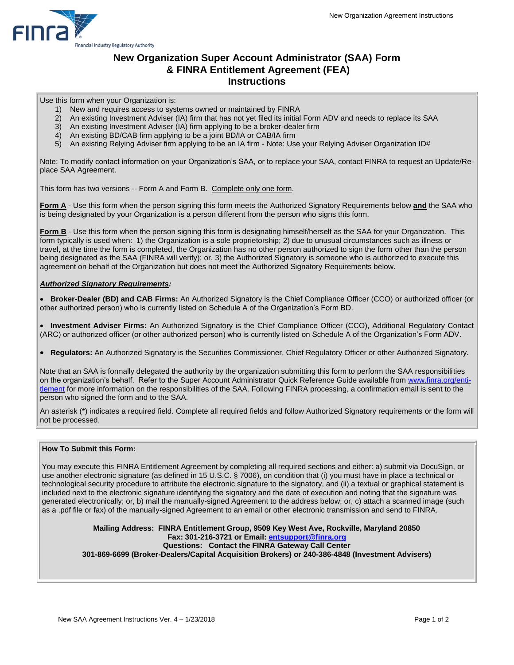

### **New Organization Super Account Administrator (SAA) Form & FINRA Entitlement Agreement (FEA) Instructions**

Use this form when your Organization is:

- 1) New and requires access to systems owned or maintained by FINRA
- 2) An existing Investment Adviser (IA) firm that has not yet filed its initial Form ADV and needs to replace its SAA
- 3) An existing Investment Adviser (IA) firm applying to be a broker-dealer firm
- 4) An existing BD/CAB firm applying to be a joint BD/IA or CAB/IA firm
- 5) An existing Relying Adviser firm applying to be an IA firm Note: Use your Relying Adviser Organization ID#

Note: To modify contact information on your Organization's SAA, or to replace your SAA, contact FINRA to request an Update/Replace SAA Agreement.

This form has two versions -- Form A and Form B. Complete only one form.

**Form A** - Use this form when the person signing this form meets the Authorized Signatory Requirements below **and** the SAA who is being designated by your Organization is a person different from the person who signs this form.

**Form B** - Use this form when the person signing this form is designating himself/herself as the SAA for your Organization. This form typically is used when: 1) the Organization is a sole proprietorship; 2) due to unusual circumstances such as illness or travel, at the time the form is completed, the Organization has no other person authorized to sign the form other than the person being designated as the SAA (FINRA will verify); or, 3) the Authorized Signatory is someone who is authorized to execute this agreement on behalf of the Organization but does not meet the Authorized Signatory Requirements below.

#### *Authorized Signatory Requirements:*

 **Broker-Dealer (BD) and CAB Firms:** An Authorized Signatory is the Chief Compliance Officer (CCO) or authorized officer (or other authorized person) who is currently listed on Schedule A of the Organization's Form BD.

 **Investment Adviser Firms:** An Authorized Signatory is the Chief Compliance Officer (CCO), Additional Regulatory Contact (ARC) or authorized officer (or other authorized person) who is currently listed on Schedule A of the Organization's Form ADV.

**Regulators:** An Authorized Signatory is the Securities Commissioner, Chief Regulatory Officer or other Authorized Signatory.

Note that an SAA is formally delegated the authority by the organization submitting this form to perform the SAA responsibilities on the organization's behalf. Refer to the Super Account Administrator Quick Reference Guide available from [www.finra.org/enti](https://www.finra.org/filing-reporting/entitlement)[tlement](http://www.finra.org/entitlement) for more information on the responsibilities of the SAA. Following FINRA processing, a confirmation email is sent to the person who signed the form and to the SAA.

An asterisk (\*) indicates a required field. Complete all required fields and follow Authorized Signatory requirements or the form will not be processed.

### **How To Submit this Form:**

You may execute this FINRA Entitlement Agreement by completing all required sections and either: a) submit via DocuSign, or use another electronic signature (as defined in 15 U.S.C. § 7006), on condition that (i) you must have in place a technical or technological security procedure to attribute the electronic signature to the signatory, and (ii) a textual or graphical statement is included next to the electronic signature identifying the signatory and the date of execution and noting that the signature was generated electronically; or, b) mail the manually-signed Agreement to the address below; or, c) attach a scanned image (such as a .pdf file or fax) of the manually-signed Agreement to an email or other electronic transmission and send to FINRA.

**Mailing Address: FINRA Entitlement Group, 9509 Key West Ave, Rockville, Maryland 20850 Fax: 301-216-3721 or Email: entsupport@finra.org Questions: Contact the FINRA Gateway Call Center 301-869-6699 (Broker-Dealers/Capital Acquisition Brokers) or 240-386-4848 (Investment Advisers)**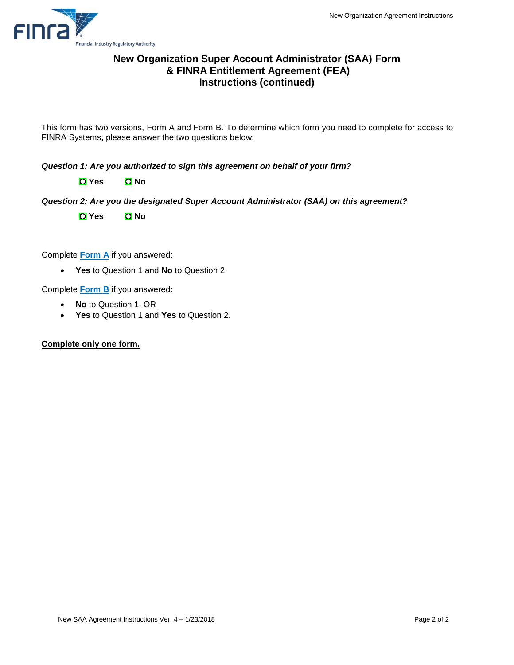

## **New Organization Super Account Administrator (SAA) Form & FINRA Entitlement Agreement (FEA) Instructions (continued)**

This form has two versions, Form A and Form B. To determine which form you need to complete for access to FINRA Systems, please answer the two questions below:

*Question 1: Are you authorized to sign this agreement on behalf of your firm?* 

**O** Yes **O** No

*Question 2: Are you the designated Super Account Administrator (SAA) on this agreement?*

**O** Yes **O** No

Complete **Form A** if you answered:

**Yes** to Question 1 and **No** to Question 2.

Complete **Form B** if you answered:

- **No** to Question 1, OR
- **Yes** to Question 1 and **Yes** to Question 2.

**Complete only one form.**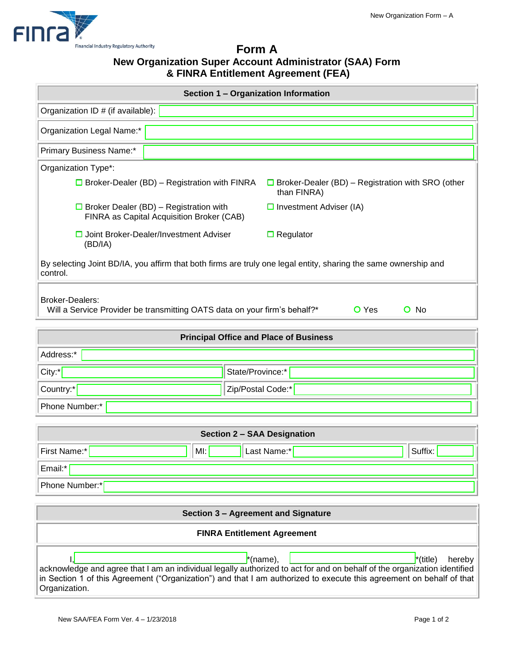

## **Form A New Organization Super Account Administrator (SAA) Form & FINRA Entitlement Agreement (FEA)**

| Section 1 - Organization Information                                                                                                                                                                                                                                                                             |  |  |  |
|------------------------------------------------------------------------------------------------------------------------------------------------------------------------------------------------------------------------------------------------------------------------------------------------------------------|--|--|--|
| Organization ID # (if available):                                                                                                                                                                                                                                                                                |  |  |  |
| Organization Legal Name:*                                                                                                                                                                                                                                                                                        |  |  |  |
| Primary Business Name:*                                                                                                                                                                                                                                                                                          |  |  |  |
| Organization Type*:                                                                                                                                                                                                                                                                                              |  |  |  |
| $\Box$ Broker-Dealer (BD) – Registration with FINRA<br>$\Box$ Broker-Dealer (BD) – Registration with SRO (other<br>than FINRA)                                                                                                                                                                                   |  |  |  |
| $\Box$ Broker Dealer (BD) – Registration with<br>$\Box$ Investment Adviser (IA)<br>FINRA as Capital Acquisition Broker (CAB)                                                                                                                                                                                     |  |  |  |
| □ Joint Broker-Dealer/Investment Adviser<br>$\Box$ Regulator<br>(BD/IA)                                                                                                                                                                                                                                          |  |  |  |
| By selecting Joint BD/IA, you affirm that both firms are truly one legal entity, sharing the same ownership and<br>control.                                                                                                                                                                                      |  |  |  |
| <b>Broker-Dealers:</b><br>$O$ No<br>Will a Service Provider be transmitting OATS data on your firm's behalf?*<br><b>O</b> Yes                                                                                                                                                                                    |  |  |  |
| <b>Principal Office and Place of Business</b>                                                                                                                                                                                                                                                                    |  |  |  |
| Address:*                                                                                                                                                                                                                                                                                                        |  |  |  |
| State/Province:*<br>City:*                                                                                                                                                                                                                                                                                       |  |  |  |
| Country:*<br>Zip/Postal Code:*                                                                                                                                                                                                                                                                                   |  |  |  |
| Phone Number:*                                                                                                                                                                                                                                                                                                   |  |  |  |
|                                                                                                                                                                                                                                                                                                                  |  |  |  |
| <b>Section 2 - SAA Designation</b>                                                                                                                                                                                                                                                                               |  |  |  |
| First Name:*<br>Suffix:<br>Last Name:*<br>MI:                                                                                                                                                                                                                                                                    |  |  |  |
| Email:*                                                                                                                                                                                                                                                                                                          |  |  |  |
| Phone Number:*                                                                                                                                                                                                                                                                                                   |  |  |  |
| Section 3 - Agreement and Signature                                                                                                                                                                                                                                                                              |  |  |  |
| <b>FINRA Entitlement Agreement</b>                                                                                                                                                                                                                                                                               |  |  |  |
| $^*$ (name),<br>$\dot{r}$ (title)<br>hereby<br>acknowledge and agree that I am an individual legally authorized to act for and on behalf of the organization identified<br>in Section 1 of this Agreement ("Organization") and that I am authorized to execute this agreement on behalf of that<br>Organization. |  |  |  |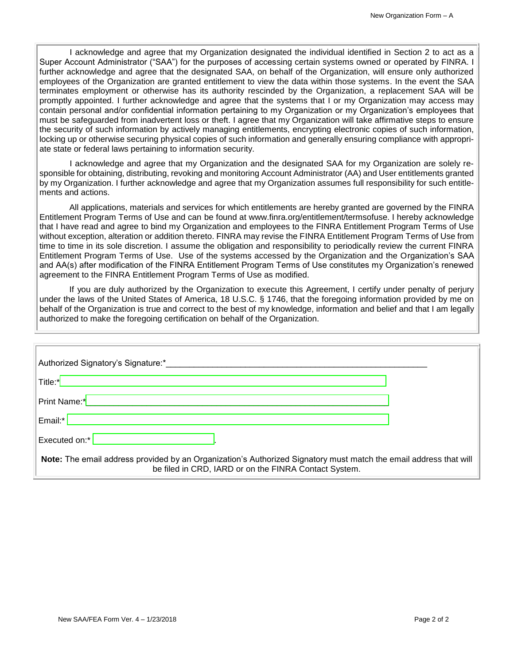I acknowledge and agree that my Organization designated the individual identified in Section 2 to act as a Super Account Administrator ("SAA") for the purposes of accessing certain systems owned or operated by FINRA. I further acknowledge and agree that the designated SAA, on behalf of the Organization, will ensure only authorized employees of the Organization are granted entitlement to view the data within those systems. In the event the SAA terminates employment or otherwise has its authority rescinded by the Organization, a replacement SAA will be promptly appointed. I further acknowledge and agree that the systems that I or my Organization may access may contain personal and/or confidential information pertaining to my Organization or my Organization's employees that must be safeguarded from inadvertent loss or theft. I agree that my Organization will take affirmative steps to ensure the security of such information by actively managing entitlements, encrypting electronic copies of such information, locking up or otherwise securing physical copies of such information and generally ensuring compliance with appropriate state or federal laws pertaining to information security.

I acknowledge and agree that my Organization and the designated SAA for my Organization are solely responsible for obtaining, distributing, revoking and monitoring Account Administrator (AA) and User entitlements granted by my Organization. I further acknowledge and agree that my Organization assumes full responsibility for such entitlements and actions.

All applications, materials and services for which entitlements are hereby granted are governed by the FINRA Entitlement Program Terms of Use and can be found at www.finra.org/entitlement/termsofuse. I hereby acknowledge that I have read and agree to bind my Organization and employees to the FINRA Entitlement Program Terms of Use without exception, alteration or addition thereto. FINRA may revise the FINRA Entitlement Program Terms of Use from time to time in its sole discretion. I assume the obligation and responsibility to periodically review the current FINRA Entitlement Program Terms of Use. Use of the systems accessed by the Organization and the Organization's SAA and AA(s) after modification of the FINRA Entitlement Program Terms of Use constitutes my Organization's renewed agreement to the FINRA Entitlement Program Terms of Use as modified.

If you are duly authorized by the Organization to execute this Agreement, I certify under penalty of perjury under the laws of the United States of America, 18 U.S.C. § 1746, that the foregoing information provided by me on behalf of the Organization is true and correct to the best of my knowledge, information and belief and that I am legally authorized to make the foregoing certification on behalf of the Organization.

| Authorized Signatory's Signature:*                                                                                                                                         |  |
|----------------------------------------------------------------------------------------------------------------------------------------------------------------------------|--|
| Title:*                                                                                                                                                                    |  |
| Print Name:*                                                                                                                                                               |  |
| Email:*                                                                                                                                                                    |  |
| Executed on:*                                                                                                                                                              |  |
| Note: The email address provided by an Organization's Authorized Signatory must match the email address that will<br>be filed in CRD, IARD or on the FINRA Contact System. |  |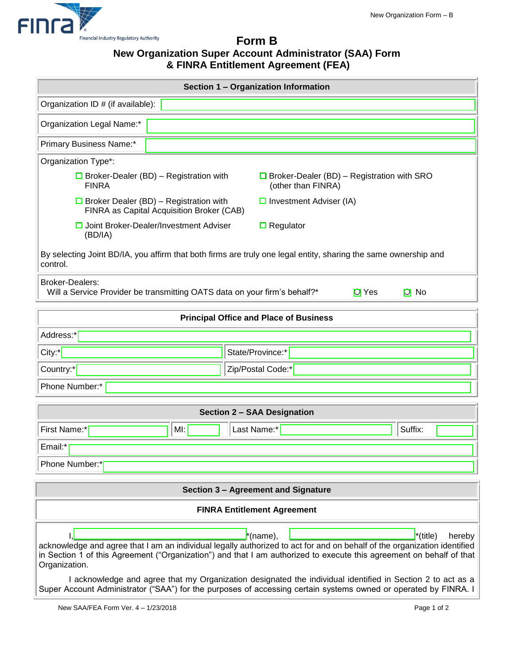

# **Form B New Organization Super Account Administrator (SAA) Form & FINRA Entitlement Agreement (FEA)**

| Section 1 - Organization Information                                                                                                                                                                                                                                                                    |                                                                                            |                                                                         |  |
|---------------------------------------------------------------------------------------------------------------------------------------------------------------------------------------------------------------------------------------------------------------------------------------------------------|--------------------------------------------------------------------------------------------|-------------------------------------------------------------------------|--|
| Organization ID # (if available):                                                                                                                                                                                                                                                                       |                                                                                            |                                                                         |  |
| Organization Legal Name:*                                                                                                                                                                                                                                                                               |                                                                                            |                                                                         |  |
| Primary Business Name:*                                                                                                                                                                                                                                                                                 |                                                                                            |                                                                         |  |
| Organization Type*:                                                                                                                                                                                                                                                                                     |                                                                                            |                                                                         |  |
| <b>FINRA</b>                                                                                                                                                                                                                                                                                            | $\Box$ Broker-Dealer (BD) – Registration with                                              | $\Box$ Broker-Dealer (BD) – Registration with SRO<br>(other than FINRA) |  |
|                                                                                                                                                                                                                                                                                                         | $\Box$ Broker Dealer (BD) – Registration with<br>FINRA as Capital Acquisition Broker (CAB) | $\Box$ Investment Adviser (IA)                                          |  |
| (BD/IA)                                                                                                                                                                                                                                                                                                 | □ Joint Broker-Dealer/Investment Adviser                                                   | $\Box$ Regulator                                                        |  |
| By selecting Joint BD/IA, you affirm that both firms are truly one legal entity, sharing the same ownership and<br>control.                                                                                                                                                                             |                                                                                            |                                                                         |  |
| <b>Broker-Dealers:</b>                                                                                                                                                                                                                                                                                  | Will a Service Provider be transmitting OATS data on your firm's behalf?*                  | <b>O</b> Yes<br>$O$ No                                                  |  |
| <b>Principal Office and Place of Business</b>                                                                                                                                                                                                                                                           |                                                                                            |                                                                         |  |
| Address:*                                                                                                                                                                                                                                                                                               |                                                                                            |                                                                         |  |
| $City:^{\ast}$                                                                                                                                                                                                                                                                                          |                                                                                            | State/Province:*                                                        |  |
| Country:*                                                                                                                                                                                                                                                                                               |                                                                                            | Zip/Postal Code:*                                                       |  |
| Phone Number:*                                                                                                                                                                                                                                                                                          |                                                                                            |                                                                         |  |
| Section 2 - SAA Designation                                                                                                                                                                                                                                                                             |                                                                                            |                                                                         |  |
| First Name:*                                                                                                                                                                                                                                                                                            | MI:                                                                                        | Suffix:<br>Last Name:*                                                  |  |
| Email:*                                                                                                                                                                                                                                                                                                 |                                                                                            |                                                                         |  |
| Phone Number:*                                                                                                                                                                                                                                                                                          |                                                                                            |                                                                         |  |
|                                                                                                                                                                                                                                                                                                         |                                                                                            |                                                                         |  |
| Section 3 - Agreement and Signature                                                                                                                                                                                                                                                                     |                                                                                            |                                                                         |  |
| <b>FINRA Entitlement Agreement</b>                                                                                                                                                                                                                                                                      |                                                                                            |                                                                         |  |
| $^*$ (title)<br>*(name),<br>hereby<br>acknowledge and agree that I am an individual legally authorized to act for and on behalf of the organization identified<br>in Section 1 of this Agreement ("Organization") and that I am authorized to execute this agreement on behalf of that<br>Organization. |                                                                                            |                                                                         |  |
| I acknowledge and agree that my Organization designated the individual identified in Section 2 to act as a<br>Super Account Administrator ("SAA") for the purposes of accessing certain systems owned or operated by FINRA. I                                                                           |                                                                                            |                                                                         |  |